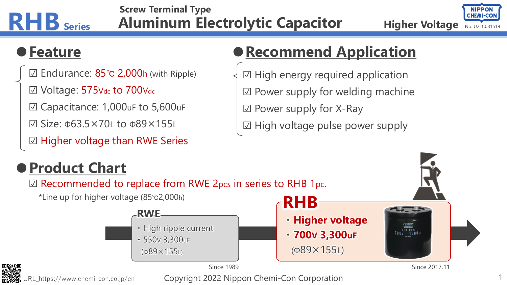## **Screw Terminal Type Aluminum Electrolytic Capacitor**



1

**RHB Series**

- ☑ Endurance: 85℃ 2,000h (with Ripple)
- ☑ Voltage: 575Vdc to 700Vdc
- ☑ Capacitance: 1,000uF to 5,600uF
- $\boxtimes$  Size:  $\Phi$ 63.5×70L to  $\Phi$ 89×155L
- ☑ Higher voltage than RWE Series

## ● Feature **●** Recommend Application

☑ High energy required application ☑ Power supply for welding machine ☑ Power supply for X-Ray ☑ High voltage pulse power supply



URL\_ [https://www.chemi-con.co.jp/en](https://go.chemi-con.co.jp/product_info/RHB_en)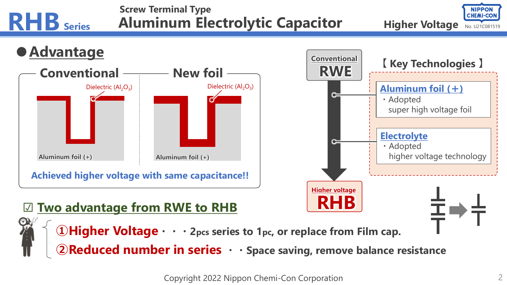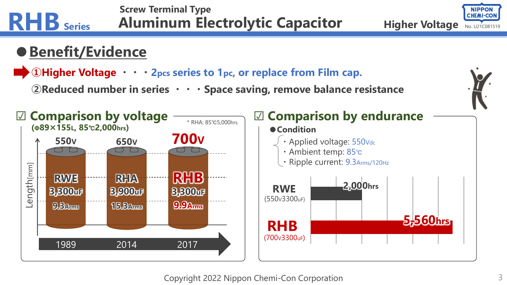